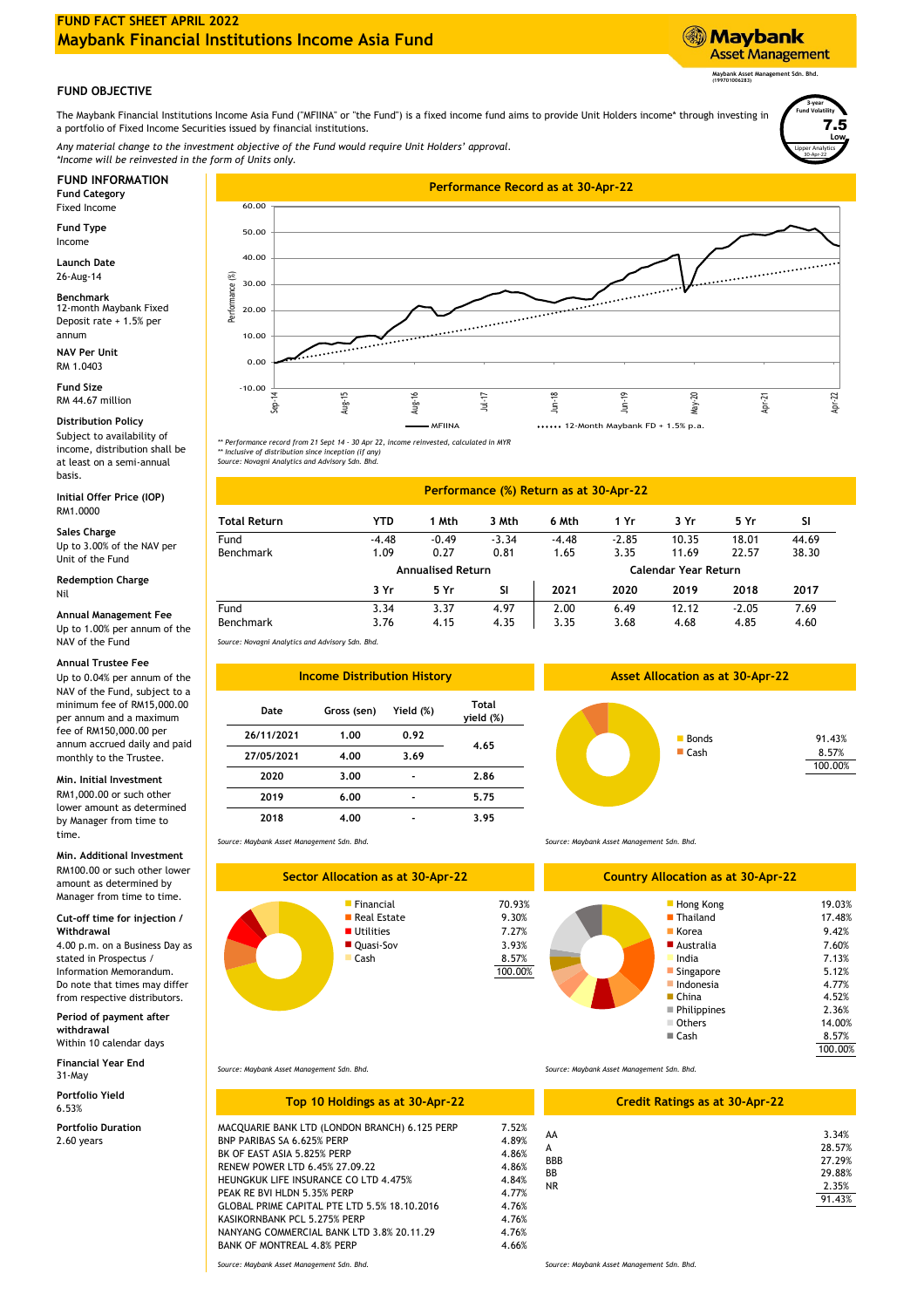# **FUND FACT SHEET APRIL 2022 Maybank Financial Institutions Income Asia Fund**

## **FUND OBJECTIVE**

The Maybank Financial Institutions Income Asia Fund ("MFIINA" or "the Fund") is a fixed income fund aims to provide Unit Holders income\* through investing in a portfolio of Fixed Income Securities issued by financial institutions.

*\*Income will be reinvested in the form of Units only. Any material change to the investment objective of the Fund would require Unit Holders' approval.*

Fixed Income

Income **Fund Type**

**Launch Date** 26-Aug-14

12-month Maybank Fixed Deposit rate + 1.5% per annum **Benchmark**

**NAV Per Unit** RM 1.0403

**Fund Size** RM 44.67 million

# **Distribution Policy**

Subject to availability of income, distribution shall be at least on a semi-annual basis.

RM1.0000 **Initial Offer Price (IOP)**

#### **Sales Charge**

Up to 3.00% of the NAV per Unit of the Fund

Nil **Redemption Charge**

#### **Annual Management Fee** Up to 1.00% per annum of the NAV of the Fund

#### **Annual Trustee Fee**

Up to 0.04% per annum of the NAV of the Fund, subject to a minimum fee of RM15,000.00 per annum and a maximum fee of RM150,000.00 per annum accrued daily and paid monthly to the Trustee.

### **Min. Initial Investment**

RM1,000.00 or such other lower amount as determined by Manager from time to time.

### **Min. Additional Investment**

RM100.00 or such other lower amount as determined by Manager from time to time.

#### **Cut-off time for injection / Withdrawal**

4.00 p.m. on a Business Day as stated in Prospectus / Information Memorandum. Do note that times may differ from respective distributors.

#### **Period of payment after withdrawal**

**Financial Year End** Within 10 calendar days

31-May **Portfolio Yield**

6.53%

**Portfolio Duration** 2.60 years



*\*\* Performance record from 21 Sept 14 - 30 Apr 22, income reinvested, calculated in MYR*

*\*\* Inclusive of distribution since inception (if any) Source: Novagni Analytics and Advisory Sdn. Bhd.*

#### 38.30 1.09 0.27 Fund -4.48 44.69 **SI** -3.34 -2.85 -4.48 **5 Yr** -0.49 **2020** 10.35 **2019** 11.69 **3 Yr** 22.57 18.01 3.35 **3 Mth** 4.15 Benchmark 3.37 **1 Yr** 7.69 -2.05 4.68 3.35 4.85 **YTD 1 Mth Performance (%) Return as at 30-Apr-22 Total Return SI Calendar Year Return** 3.76 2.00 **5 Yr 2017** Fund Benchmark 3.76 4.15 4.35 3.68 4.97 12.12 4.35 4.60 **Annualised Return** 6.49 1.65 **2021** 0.81 3.34 **3 Yr 6 Mth 2018**

*Source: Novagni Analytics and Advisory Sdn. Bhd.*

| <b>Income Distribution History</b> |             |           |                    |  |
|------------------------------------|-------------|-----------|--------------------|--|
| Date                               | Gross (sen) | Yield (%) | Total<br>yield (%) |  |
| 26/11/2021                         | 1.00        | 0.92      | 4.65               |  |
| 27/05/2021                         | 4.00        | 3.69      |                    |  |
| 2020                               | 3.00        |           | 2.86               |  |
| 2019                               | 6.00        |           | 5.75               |  |
| 2018                               | 4.00        |           | 3.95               |  |

*Source: Maybank Asset Management Sdn. Bhd.*



*Source: Maybank Asset Management Sdn. Bhd.*

■ China 4.52% Indonesia 4.77% 5.12% 70.93% Hong Kong 7.13% ■ Quasi-Sov 7.60% 3.93% → ■ Australia 7.60% → 7.60% → 7.60% → 7.60% → 7.60% → 7.60% → 7.60% → 7.60% → 7.60% → 7.60% → 7.60% → 7.60% → 7.60% → 7.60% → 7.60% → 7.60% → 7.60% → 7.60% → 7.60% → 7.60% → 7.60% → 7.60% → 7.60% → Korea Australia 17.48% Others 14.00% **Singapore** 100.00% Philippines ■ Cash 2.36% **India** 8.57% 19.03% **Country Allocation as at 30-Apr-22** 9.42% **Thailand** 

*Source: Maybank Asset Management Sdn. Bhd.*

| Top 10 Holdings as at 30-Apr-22                                                                                                                                                                                                                                                                                                                                                               | <b>Credit Ratings</b>                                                                  |                                                 |
|-----------------------------------------------------------------------------------------------------------------------------------------------------------------------------------------------------------------------------------------------------------------------------------------------------------------------------------------------------------------------------------------------|----------------------------------------------------------------------------------------|-------------------------------------------------|
| MACQUARIE BANK LTD (LONDON BRANCH) 6.125 PERP<br>BNP PARIBAS SA 6.625% PERP<br>BK OF EAST ASIA 5.825% PERP<br>RENEW POWER LTD 6.45% 27.09.22<br><b>HEUNGKUK LIFE INSURANCE CO LTD 4.475%</b><br>PEAK RE BVI HLDN 5.35% PERP<br>GLOBAL PRIME CAPITAL PTE LTD 5.5% 18.10.2016<br>KASIKORNBANK PCL 5.275% PERP<br>NANYANG COMMERCIAL BANK LTD 3.8% 20.11.29<br><b>BANK OF MONTREAL 4.8% PERP</b> | 7.52%<br>4.89%<br>4.86%<br>4.86%<br>4.84%<br>4.77%<br>4.76%<br>4.76%<br>4.76%<br>4.66% | AA<br>A<br><b>BBB</b><br><b>BB</b><br><b>NR</b> |
| Source: Maybank Asset Management Sdn. Bhd.                                                                                                                                                                                                                                                                                                                                                    |                                                                                        | Source: Maybank Asset Management Sdn. Bhd.      |

*Source: Maybank Asset Management Sdn. Bhd.*

|            | <b>Credit Ratings as at 30-Apr-22</b> |
|------------|---------------------------------------|
| AA         | 3.34%                                 |
| A          | 28.57%                                |
| <b>BBB</b> | 27.29%                                |
| BB         | 29.88%                                |
| <b>NR</b>  | 2.35%                                 |
|            | 91.43%                                |
|            |                                       |
|            |                                       |

100.00% 8.57%

Lipper Analytics

30-Apr-22

**Low** 7.5

**3-year Fund Volatility**

**Maybank Asset Management Sdn. Bhd. (199701006283)**

**Asset Management** 

**Maybank** 

**Asset Allocation as at 30-Apr-22**